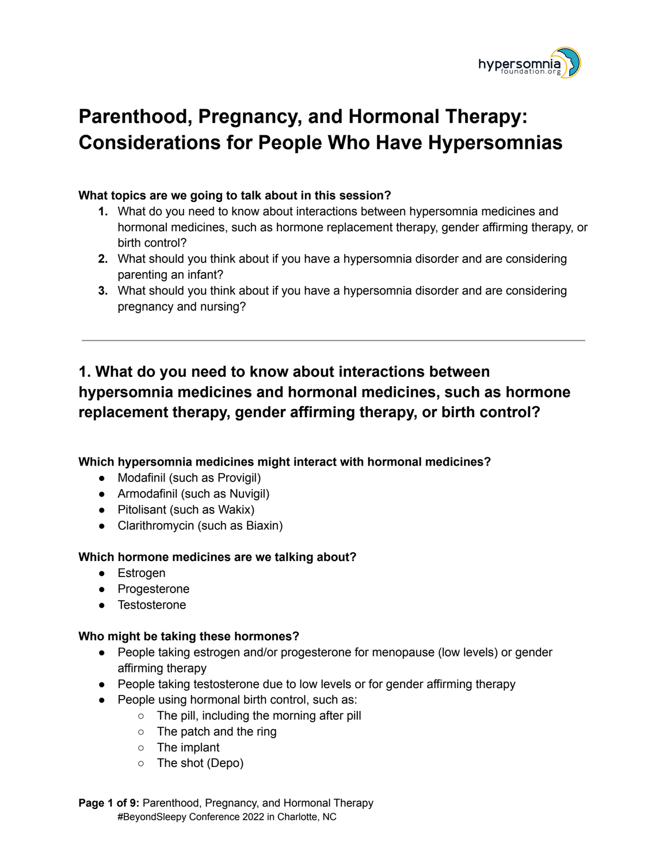

# **[Parenthood, Pregnancy, and Hormonal Therapy:](https://whova.com/embedded/speaker_session_detail/YXnEjdTTxteXJhHbpeqhJAyeTYAzuO6dUaMSZWrElOw%3D/2270920/) [Considerations for People Who Have Hypersomnias](https://whova.com/embedded/speaker_session_detail/YXnEjdTTxteXJhHbpeqhJAyeTYAzuO6dUaMSZWrElOw%3D/2270920/)**

#### **What topics are we going to talk about in this session?**

- **1.** What do you need to know about interactions between hypersomnia medicines and hormonal medicines, such as hormone replacement therapy, gender affirming therapy, or birth control?
- **2.** What should you think about if you have a hypersomnia disorder and are considering parenting an infant?
- **3.** What should you think about if you have a hypersomnia disorder and are considering pregnancy and nursing?

## **1. What do you need to know about interactions between hypersomnia medicines and hormonal medicines, such as hormone replacement therapy, gender affirming therapy, or birth control?**

**Which hypersomnia medicines might interact with hormonal medicines?**

- Modafinil (such as Provigil)
- Armodafinil (such as Nuvigil)
- Pitolisant (such as Wakix)
- Clarithromycin (such as Biaxin)

#### **Which hormone medicines are we talking about?**

- Estrogen
- Progesterone
- Testosterone

#### **Who might be taking these hormones?**

- People taking estrogen and/or progesterone for menopause (low levels) or gender affirming therapy
- People taking testosterone due to low levels or for gender affirming therapy
- People using hormonal birth control, such as:
	- The pill, including the morning after pill
	- The patch and the ring
	- The implant
	- The shot (Depo)

**Page 1 of 9:** [Parenthood,](https://whova.com/embedded/speaker_session_detail/YXnEjdTTxteXJhHbpeqhJAyeTYAzuO6dUaMSZWrElOw%3D/2270920/) Pregnancy, and Hormonal Therapy #BeyondSleepy Conference 2022 in Charlotte, NC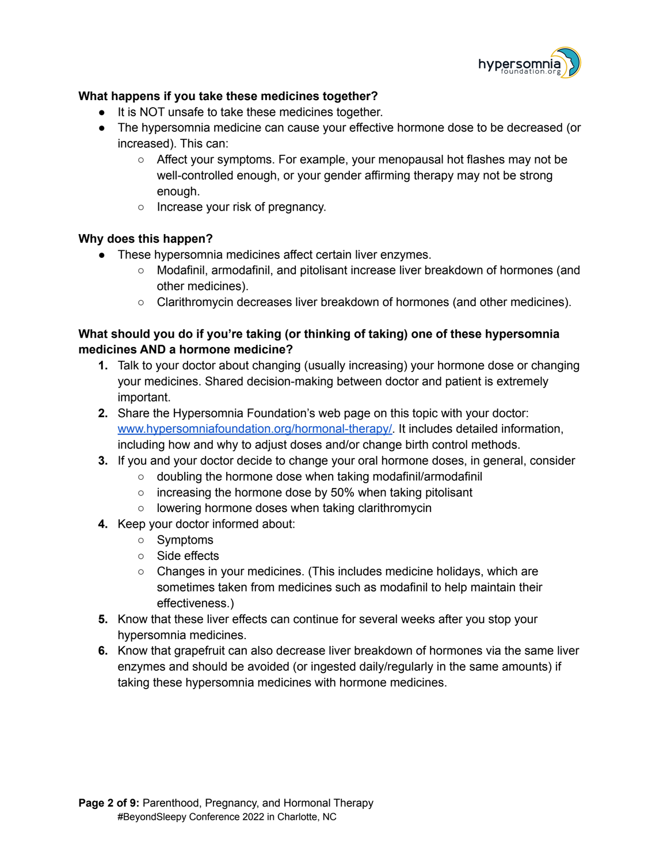

#### **What happens if you take these medicines together?**

- It is NOT unsafe to take these medicines together.
- The hypersomnia medicine can cause your effective hormone dose to be decreased (or increased). This can:
	- Affect your symptoms. For example, your menopausal hot flashes may not be well-controlled enough, or your gender affirming therapy may not be strong enough.
	- Increase your risk of pregnancy.

#### **Why does this happen?**

- These hypersomnia medicines affect certain liver enzymes.
	- Modafinil, armodafinil, and pitolisant increase liver breakdown of hormones (and other medicines).
	- Clarithromycin decreases liver breakdown of hormones (and other medicines).

#### **What should you do if you're taking (or thinking of taking) one of these hypersomnia medicines AND a hormone medicine?**

- **1.** Talk to your doctor about changing (usually increasing) your hormone dose or changing your medicines. Shared decision-making between doctor and patient is extremely important.
- **2.** Share the Hypersomnia Foundation's web page on this topic with your doctor: [www.hypersomniafoundation.org/hormonal-therapy/.](http://www.hypersomniafoundation.org/hormonal-therapy/) It includes detailed information, including how and why to adjust doses and/or change birth control methods.
- **3.** If you and your doctor decide to change your oral hormone doses, in general, consider
	- doubling the hormone dose when taking modafinil/armodafinil
	- increasing the hormone dose by 50% when taking pitolisant
	- lowering hormone doses when taking clarithromycin
- **4.** Keep your doctor informed about:
	- Symptoms
	- Side effects
	- Changes in your medicines. (This includes medicine holidays, which are sometimes taken from medicines such as modafinil to help maintain their effectiveness.)
- **5.** Know that these liver effects can continue for several weeks after you stop your hypersomnia medicines.
- **6.** Know that grapefruit can also decrease liver breakdown of hormones via the same liver enzymes and should be avoided (or ingested daily/regularly in the same amounts) if taking these hypersomnia medicines with hormone medicines.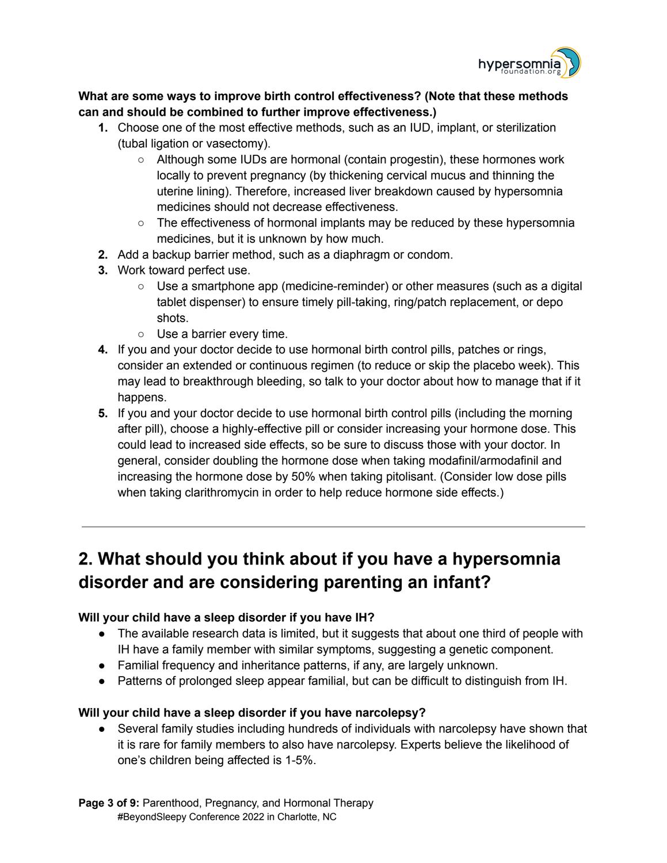

#### **What are some ways to improve birth control effectiveness? (Note that these methods can and should be combined to further improve effectiveness.)**

- **1.** Choose one of the most effective methods, such as an IUD, implant, or sterilization (tubal ligation or vasectomy).
	- Although some IUDs are hormonal (contain progestin), these hormones work locally to prevent pregnancy (by thickening cervical mucus and thinning the uterine lining). Therefore, increased liver breakdown caused by hypersomnia medicines should not decrease effectiveness.
	- $\circ$  The effectiveness of hormonal implants may be reduced by these hypersomnia medicines, but it is unknown by how much.
- **2.** Add a backup barrier method, such as a diaphragm or condom.
- **3.** Work toward perfect use.
	- Use a smartphone app (medicine-reminder) or other measures (such as a digital tablet dispenser) to ensure timely pill-taking, ring/patch replacement, or depo shots.
	- Use a barrier every time.
- **4.** If you and your doctor decide to use hormonal birth control pills, patches or rings, consider an extended or continuous regimen (to reduce or skip the placebo week). This may lead to breakthrough bleeding, so talk to your doctor about how to manage that if it happens.
- **5.** If you and your doctor decide to use hormonal birth control pills (including the morning after pill), choose a highly-effective pill or consider increasing your hormone dose. This could lead to increased side effects, so be sure to discuss those with your doctor. In general, consider doubling the hormone dose when taking modafinil/armodafinil and increasing the hormone dose by 50% when taking pitolisant. (Consider low dose pills when taking clarithromycin in order to help reduce hormone side effects.)

## **2. What should you think about if you have a hypersomnia disorder and are considering parenting an infant?**

#### **Will your child have a sleep disorder if you have IH?**

- The available research data is limited, but it suggests that about one third of people with IH have a family member with similar symptoms, suggesting a genetic component.
- Familial frequency and inheritance patterns, if any, are largely unknown.
- Patterns of prolonged sleep appear familial, but can be difficult to distinguish from IH.

## **Will your child have a sleep disorder if you have narcolepsy?**

● Several family studies including hundreds of individuals with narcolepsy have shown that it is rare for family members to also have narcolepsy. Experts believe the likelihood of one's children being affected is 1-5%.

**Page 3 of 9:** [Parenthood,](https://whova.com/embedded/speaker_session_detail/YXnEjdTTxteXJhHbpeqhJAyeTYAzuO6dUaMSZWrElOw%3D/2270920/) Pregnancy, and Hormonal Therapy #BeyondSleepy Conference 2022 in Charlotte, NC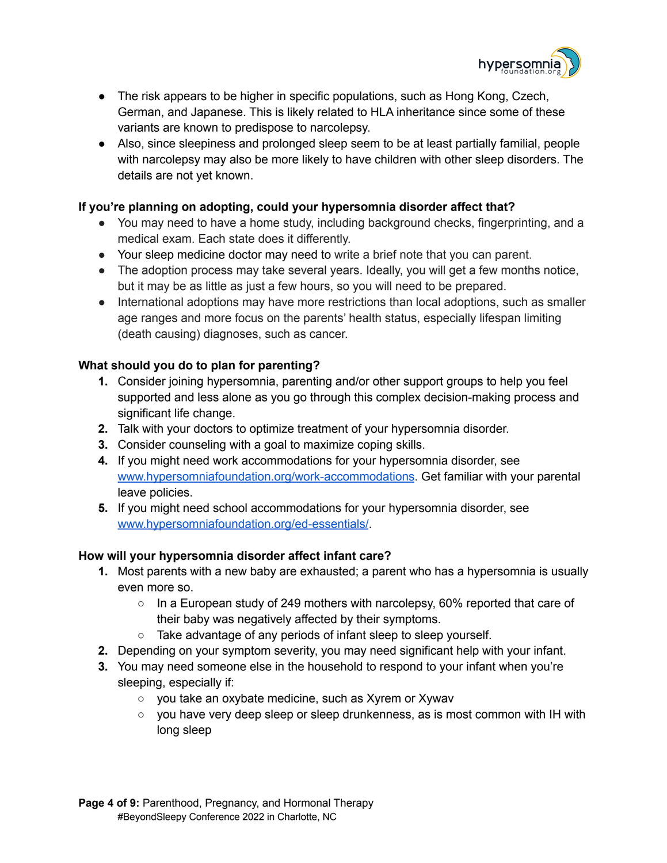

- The risk appears to be higher in specific populations, such as Hong Kong, Czech, German, and Japanese. This is likely related to HLA inheritance since some of these variants are known to predispose to narcolepsy.
- Also, since sleepiness and prolonged sleep seem to be at least partially familial, people with narcolepsy may also be more likely to have children with other sleep disorders. The details are not yet known.

#### **If you're planning on adopting, could your hypersomnia disorder affect that?**

- You may need to have a home study, including background checks, fingerprinting, and a medical exam. Each state does it differently.
- Your sleep medicine doctor may need to write a brief note that you can parent.
- The adoption process may take several years. Ideally, you will get a few months notice, but it may be as little as just a few hours, so you will need to be prepared.
- International adoptions may have more restrictions than local adoptions, such as smaller age ranges and more focus on the parents' health status, especially lifespan limiting (death causing) diagnoses, such as cancer.

#### **What should you do to plan for parenting?**

- **1.** Consider joining hypersomnia, parenting and/or other support groups to help you feel supported and less alone as you go through this complex decision-making process and significant life change.
- **2.** Talk with your doctors to optimize treatment of your hypersomnia disorder.
- **3.** Consider counseling with a goal to maximize coping skills.
- **4.** If you might need work accommodations for your hypersomnia disorder, see [www.hypersomniafoundation.org/work-accommodations](http://www.hypersomniafoundation.org/work-accommodations). Get familiar with your parental leave policies.
- **5.** If you might need school accommodations for your hypersomnia disorder, see [www.hypersomniafoundation.org/ed-essentials/](http://www.hypersomniafoundation.org/ed-essentials/).

#### **How will your hypersomnia disorder affect infant care?**

- **1.** Most parents with a new baby are exhausted; a parent who has a hypersomnia is usually even more so.
	- $\circ$  In a European study of 249 mothers with narcolepsy, 60% reported that care of their baby was negatively affected by their symptoms.
	- Take advantage of any periods of infant sleep to sleep yourself.
- **2.** Depending on your symptom severity, you may need significant help with your infant.
- **3.** You may need someone else in the household to respond to your infant when you're sleeping, especially if:
	- you take an oxybate medicine, such as Xyrem or Xywav
	- $\circ$  you have very deep sleep or sleep drunkenness, as is most common with IH with long sleep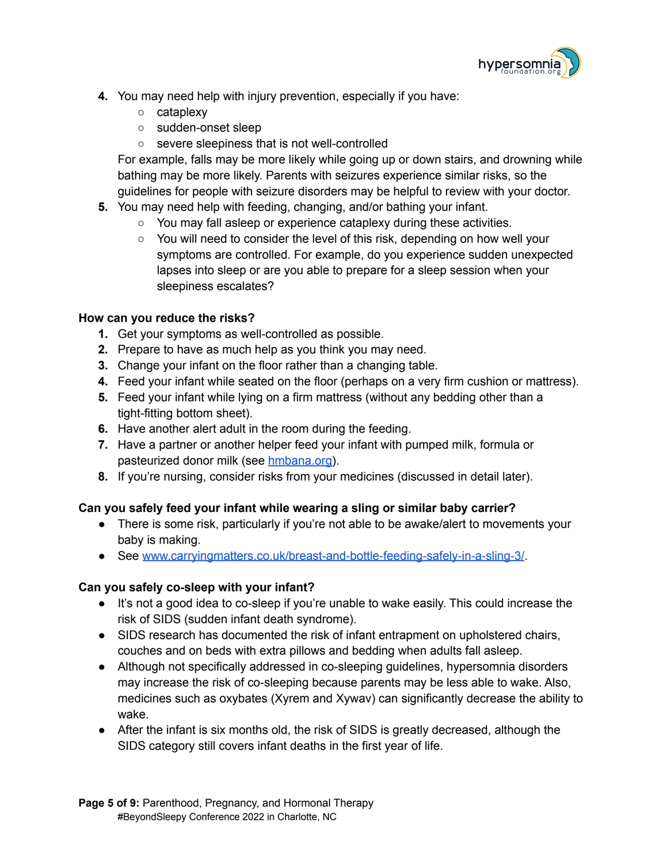

- **4.** You may need help with injury prevention, especially if you have:
	- cataplexy
	- sudden-onset sleep
	- severe sleepiness that is not well-controlled

For example, falls may be more likely while going up or down stairs, and drowning while bathing may be more likely. Parents with seizures experience similar risks, so the guidelines for people with seizure disorders may be helpful to review with your doctor.

- **5.** You may need help with feeding, changing, and/or bathing your infant.
	- You may fall asleep or experience cataplexy during these activities.
	- You will need to consider the level of this risk, depending on how well your symptoms are controlled. For example, do you experience sudden unexpected lapses into sleep or are you able to prepare for a sleep session when your sleepiness escalates?

#### **How can you reduce the risks?**

- **1.** Get your symptoms as well-controlled as possible.
- **2.** Prepare to have as much help as you think you may need.
- **3.** Change your infant on the floor rather than a changing table.
- **4.** Feed your infant while seated on the floor (perhaps on a very firm cushion or mattress).
- **5.** Feed your infant while lying on a firm mattress (without any bedding other than a tight-fitting bottom sheet).
- **6.** Have another alert adult in the room during the feeding.
- **7.** Have a partner or another helper feed your infant with pumped milk, formula or pasteurized donor milk (see [hmbana.org\)](http://hmbana.org/).
- **8.** If you're nursing, consider risks from your medicines (discussed in detail later).

#### **Can you safely feed your infant while wearing a sling or similar baby carrier?**

- There is some risk, particularly if you're not able to be awake/alert to movements your baby is making.
- See [www.carryingmatters.co.uk/breast-and-bottle-feeding-safely-in-a-sling-3/](http://www.carryingmatters.co.uk/breast-and-bottle-feeding-safely-in-a-sling-3/).

#### **Can you safely co-sleep with your infant?**

- It's not a good idea to co-sleep if you're unable to wake easily. This could increase the risk of SIDS (sudden infant death syndrome).
- SIDS research has documented the risk of infant entrapment on upholstered chairs, couches and on beds with extra pillows and bedding when adults fall asleep.
- Although not specifically addressed in co-sleeping guidelines, hypersomnia disorders may increase the risk of co-sleeping because parents may be less able to wake. Also, medicines such as oxybates (Xyrem and Xywav) can significantly decrease the ability to wake.
- After the infant is six months old, the risk of SIDS is greatly decreased, although the SIDS category still covers infant deaths in the first year of life.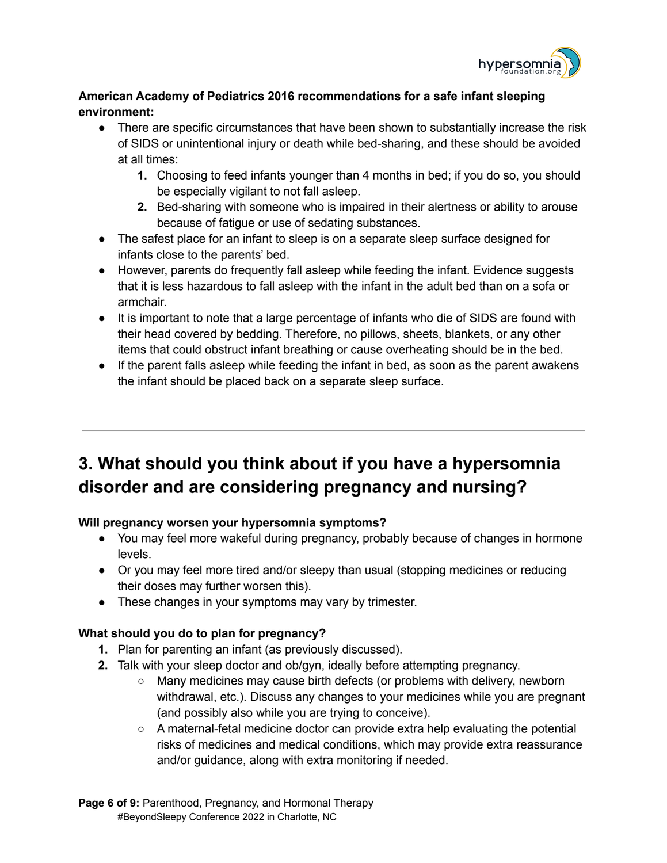

### **American Academy of Pediatrics 2016 recommendations for a safe infant sleeping environment:**

- There are specific circumstances that have been shown to substantially increase the risk of SIDS or unintentional injury or death while bed-sharing, and these should be avoided at all times:
	- **1.** Choosing to feed infants younger than 4 months in bed; if you do so, you should be especially vigilant to not fall asleep.
	- **2.** Bed-sharing with someone who is impaired in their alertness or ability to arouse because of fatigue or use of sedating substances.
- The safest place for an infant to sleep is on a separate sleep surface designed for infants close to the parents' bed.
- However, parents do frequently fall asleep while feeding the infant. Evidence suggests that it is less hazardous to fall asleep with the infant in the adult bed than on a sofa or armchair.
- It is important to note that a large percentage of infants who die of SIDS are found with their head covered by bedding. Therefore, no pillows, sheets, blankets, or any other items that could obstruct infant breathing or cause overheating should be in the bed.
- If the parent falls asleep while feeding the infant in bed, as soon as the parent awakens the infant should be placed back on a separate sleep surface.

## **3. What should you think about if you have a hypersomnia disorder and are considering pregnancy and nursing?**

## **Will pregnancy worsen your hypersomnia symptoms?**

- You may feel more wakeful during pregnancy, probably because of changes in hormone levels.
- Or you may feel more tired and/or sleepy than usual (stopping medicines or reducing their doses may further worsen this).
- These changes in your symptoms may vary by trimester.

## **What should you do to plan for pregnancy?**

- **1.** Plan for parenting an infant (as previously discussed).
- **2.** Talk with your sleep doctor and ob/gyn, ideally before attempting pregnancy.
	- Many medicines may cause birth defects (or problems with delivery, newborn withdrawal, etc.). Discuss any changes to your medicines while you are pregnant (and possibly also while you are trying to conceive).
	- A maternal-fetal medicine doctor can provide extra help evaluating the potential risks of medicines and medical conditions, which may provide extra reassurance and/or guidance, along with extra monitoring if needed.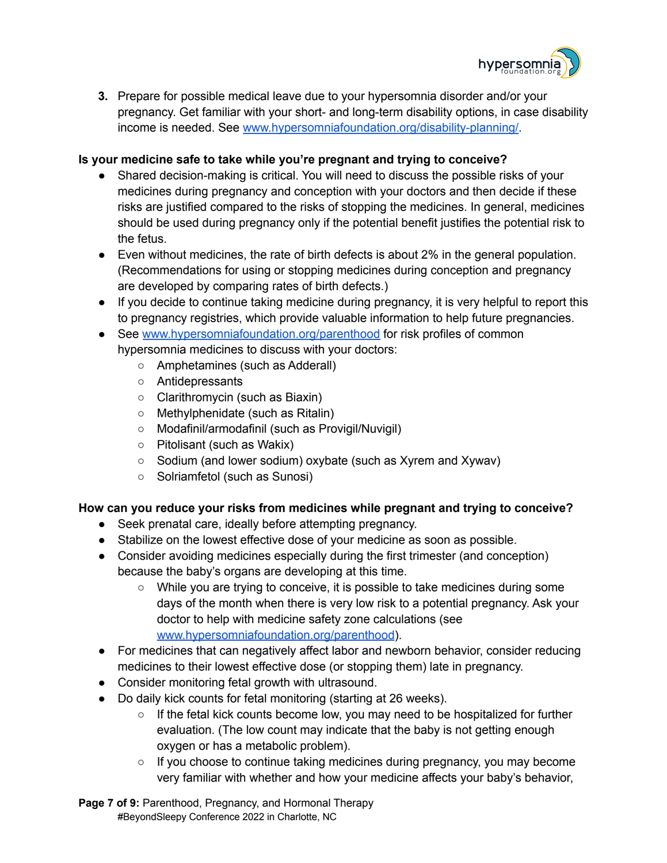

**3.** Prepare for possible medical leave due to your hypersomnia disorder and/or your pregnancy. Get familiar with your short- and long-term disability options, in case disability income is needed. See [www.hypersomniafoundation.org/disability-planning/.](http://www.hypersomniafoundation.org/disability-planning/)

#### **Is your medicine safe to take while you're pregnant and trying to conceive?**

- Shared decision-making is critical. You will need to discuss the possible risks of your medicines during pregnancy and conception with your doctors and then decide if these risks are justified compared to the risks of stopping the medicines. In general, medicines should be used during pregnancy only if the potential benefit justifies the potential risk to the fetus.
- Even without medicines, the rate of birth defects is about 2% in the general population. (Recommendations for using or stopping medicines during conception and pregnancy are developed by comparing rates of birth defects.)
- If you decide to continue taking medicine during pregnancy, it is very helpful to report this to pregnancy registries, which provide valuable information to help future pregnancies.

• See [www.hypersomniafoundation.org/parenthood](http://www.hypersomniafoundation.org/parenthood) for risk profiles of common hypersomnia medicines to discuss with your doctors:

- Amphetamines (such as Adderall)
- Antidepressants
- Clarithromycin (such as Biaxin)
- Methylphenidate (such as Ritalin)
- Modafinil/armodafinil (such as Provigil/Nuvigil)
- Pitolisant (such as Wakix)
- Sodium (and lower sodium) oxybate (such as Xyrem and Xywav)
- Solriamfetol (such as Sunosi)

#### **How can you reduce your risks from medicines while pregnant and trying to conceive?**

- Seek prenatal care, ideally before attempting pregnancy.
- Stabilize on the lowest effective dose of your medicine as soon as possible.
- Consider avoiding medicines especially during the first trimester (and conception) because the baby's organs are developing at this time.
	- While you are trying to conceive, it is possible to take medicines during some days of the month when there is very low risk to a potential pregnancy. Ask your doctor to help with medicine safety zone calculations (see [www.hypersomniafoundation.org/parenthood](http://www.hypersomniafoundation.org/parenthood)).
- For medicines that can negatively affect labor and newborn behavior, consider reducing medicines to their lowest effective dose (or stopping them) late in pregnancy.
- Consider monitoring fetal growth with ultrasound.
- Do daily kick counts for fetal monitoring (starting at 26 weeks).
	- $\circ$  If the fetal kick counts become low, you may need to be hospitalized for further evaluation. (The low count may indicate that the baby is not getting enough oxygen or has a metabolic problem).
	- If you choose to continue taking medicines during pregnancy, you may become very familiar with whether and how your medicine affects your baby's behavior,

**Page 7 of 9:** [Parenthood,](https://whova.com/embedded/speaker_session_detail/YXnEjdTTxteXJhHbpeqhJAyeTYAzuO6dUaMSZWrElOw%3D/2270920/) Pregnancy, and Hormonal Therapy #BeyondSleepy Conference 2022 in Charlotte, NC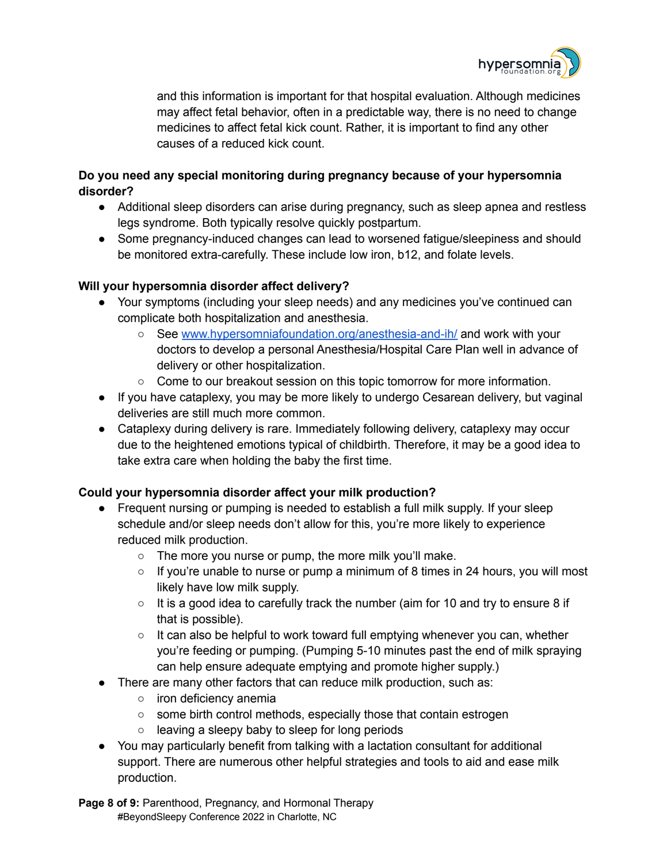

and this information is important for that hospital evaluation. Although medicines may affect fetal behavior, often in a predictable way, there is no need to change medicines to affect fetal kick count. Rather, it is important to find any other causes of a reduced kick count.

### **Do you need any special monitoring during pregnancy because of your hypersomnia disorder?**

- Additional sleep disorders can arise during pregnancy, such as sleep apnea and restless legs syndrome. Both typically resolve quickly postpartum.
- Some pregnancy-induced changes can lead to worsened fatigue/sleepiness and should be monitored extra-carefully. These include low iron, b12, and folate levels.

#### **Will your hypersomnia disorder affect delivery?**

- Your symptoms (including your sleep needs) and any medicines you've continued can complicate both hospitalization and anesthesia.
	- See [www.hypersomniafoundation.org/anesthesia-and-ih/](http://www.hypersomniafoundation.org/anesthesia-and-ih/) and work with your doctors to develop a personal Anesthesia/Hospital Care Plan well in advance of delivery or other hospitalization.
	- Come to our breakout session on this topic tomorrow for more information.
- If you have cataplexy, you may be more likely to undergo Cesarean delivery, but vaginal deliveries are still much more common.
- Cataplexy during delivery is rare. Immediately following delivery, cataplexy may occur due to the heightened emotions typical of childbirth. Therefore, it may be a good idea to take extra care when holding the baby the first time.

#### **Could your hypersomnia disorder affect your milk production?**

- Frequent nursing or pumping is needed to establish a full milk supply. If your sleep schedule and/or sleep needs don't allow for this, you're more likely to experience reduced milk production.
	- The more you nurse or pump, the more milk you'll make.
	- $\circ$  If you're unable to nurse or pump a minimum of 8 times in 24 hours, you will most likely have low milk supply.
	- It is a good idea to carefully track the number (aim for 10 and try to ensure 8 if that is possible).
	- It can also be helpful to work toward full emptying whenever you can, whether you're feeding or pumping. (Pumping 5-10 minutes past the end of milk spraying can help ensure adequate emptying and promote higher supply.)
- There are many other factors that can reduce milk production, such as:
	- o iron deficiency anemia
	- some birth control methods, especially those that contain estrogen
	- $\circ$  leaving a sleepy baby to sleep for long periods
- You may particularly benefit from talking with a lactation consultant for additional support. There are numerous other helpful strategies and tools to aid and ease milk production.

**Page 8 of 9:** [Parenthood,](https://whova.com/embedded/speaker_session_detail/YXnEjdTTxteXJhHbpeqhJAyeTYAzuO6dUaMSZWrElOw%3D/2270920/) Pregnancy, and Hormonal Therapy #BeyondSleepy Conference 2022 in Charlotte, NC